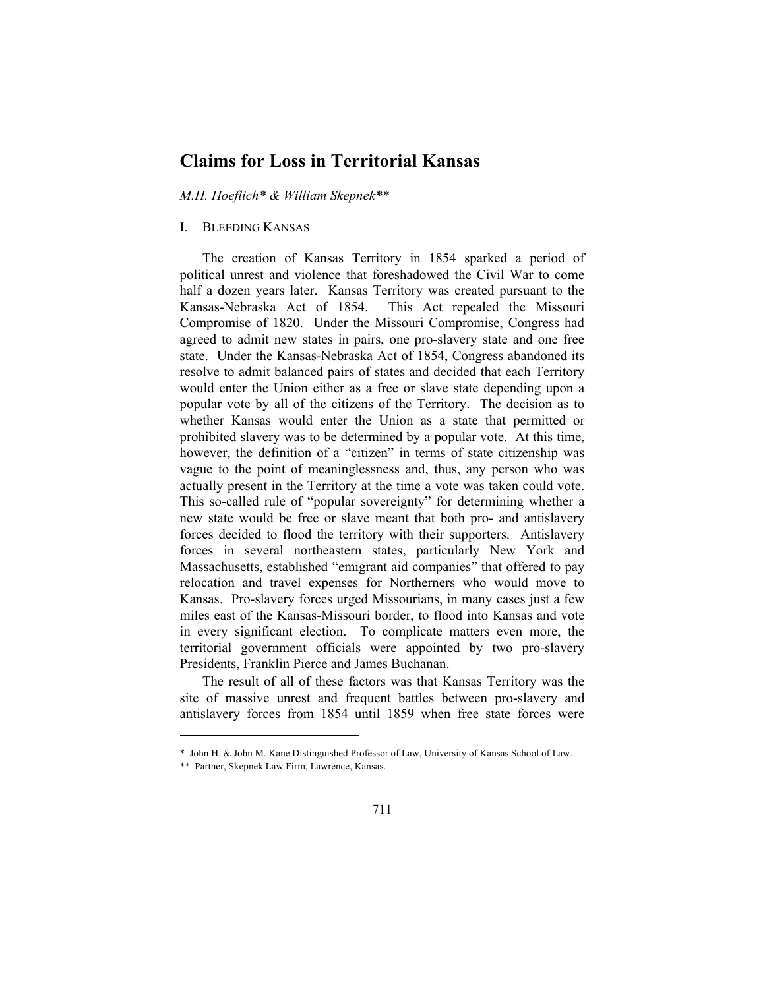# **Claims for Loss in Territorial Kansas**

*M.H. Hoeflich\* & William Skepnek\*\** 

#### I. BLEEDING KANSAS

The creation of Kansas Territory in 1854 sparked a period of political unrest and violence that foreshadowed the Civil War to come half a dozen years later. Kansas Territory was created pursuant to the Kansas-Nebraska Act of 1854. This Act repealed the Missouri Compromise of 1820. Under the Missouri Compromise, Congress had agreed to admit new states in pairs, one pro-slavery state and one free state. Under the Kansas-Nebraska Act of 1854, Congress abandoned its resolve to admit balanced pairs of states and decided that each Territory would enter the Union either as a free or slave state depending upon a popular vote by all of the citizens of the Territory. The decision as to whether Kansas would enter the Union as a state that permitted or prohibited slavery was to be determined by a popular vote. At this time, however, the definition of a "citizen" in terms of state citizenship was vague to the point of meaninglessness and, thus, any person who was actually present in the Territory at the time a vote was taken could vote. This so-called rule of "popular sovereignty" for determining whether a new state would be free or slave meant that both pro- and antislavery forces decided to flood the territory with their supporters. Antislavery forces in several northeastern states, particularly New York and Massachusetts, established "emigrant aid companies" that offered to pay relocation and travel expenses for Northerners who would move to Kansas. Pro-slavery forces urged Missourians, in many cases just a few miles east of the Kansas-Missouri border, to flood into Kansas and vote in every significant election. To complicate matters even more, the territorial government officials were appointed by two pro-slavery Presidents, Franklin Pierce and James Buchanan.

The result of all of these factors was that Kansas Territory was the site of massive unrest and frequent battles between pro-slavery and antislavery forces from 1854 until 1859 when free state forces were

<sup>\*</sup> John H. & John M. Kane Distinguished Professor of Law, University of Kansas School of Law.

<sup>\*\*</sup> Partner, Skepnek Law Firm, Lawrence, Kansas.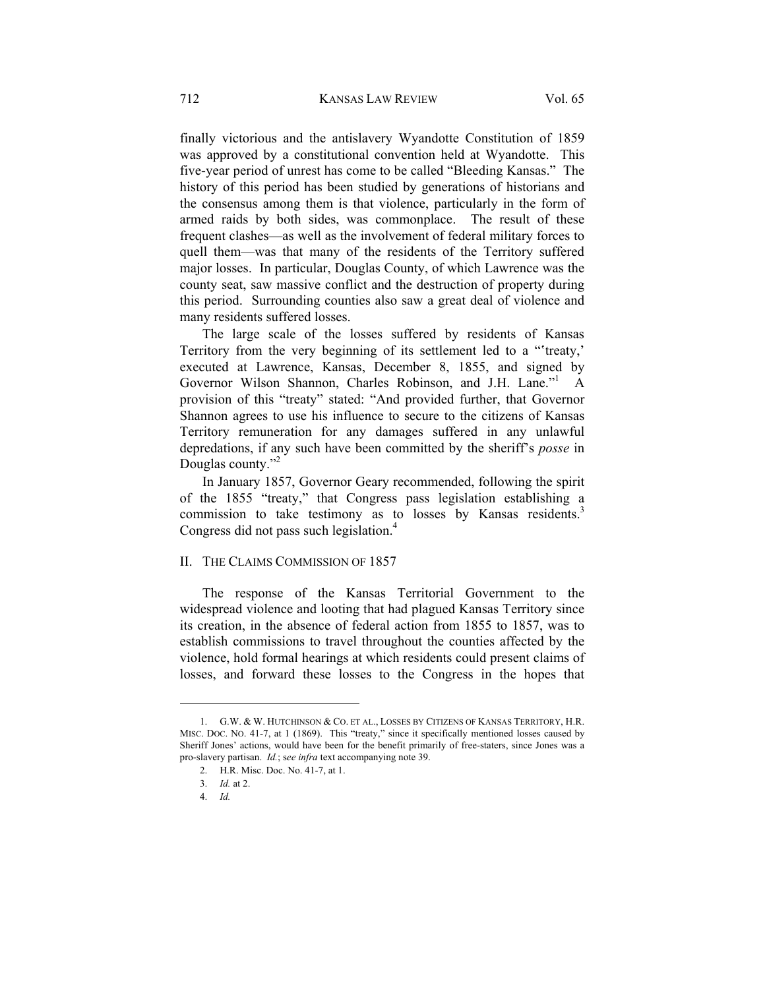finally victorious and the antislavery Wyandotte Constitution of 1859 was approved by a constitutional convention held at Wyandotte. This five-year period of unrest has come to be called "Bleeding Kansas." The history of this period has been studied by generations of historians and the consensus among them is that violence, particularly in the form of armed raids by both sides, was commonplace. The result of these frequent clashes—as well as the involvement of federal military forces to quell them—was that many of the residents of the Territory suffered major losses. In particular, Douglas County, of which Lawrence was the county seat, saw massive conflict and the destruction of property during this period. Surrounding counties also saw a great deal of violence and many residents suffered losses.

The large scale of the losses suffered by residents of Kansas Territory from the very beginning of its settlement led to a "treaty," executed at Lawrence, Kansas, December 8, 1855, and signed by Governor Wilson Shannon, Charles Robinson, and J.H. Lane."<sup>1</sup> A provision of this "treaty" stated: "And provided further, that Governor Shannon agrees to use his influence to secure to the citizens of Kansas Territory remuneration for any damages suffered in any unlawful depredations, if any such have been committed by the sheriff's *posse* in Douglas county."<sup>2</sup>

In January 1857, Governor Geary recommended, following the spirit of the 1855 "treaty," that Congress pass legislation establishing a commission to take testimony as to losses by Kansas residents.<sup>3</sup> Congress did not pass such legislation.<sup>4</sup>

#### II. THE CLAIMS COMMISSION OF 1857

The response of the Kansas Territorial Government to the widespread violence and looting that had plagued Kansas Territory since its creation, in the absence of federal action from 1855 to 1857, was to establish commissions to travel throughout the counties affected by the violence, hold formal hearings at which residents could present claims of losses, and forward these losses to the Congress in the hopes that

 <sup>1.</sup> G.W. & W. HUTCHINSON & CO. ET AL., LOSSES BY CITIZENS OF KANSAS TERRITORY, H.R. MISC. DOC. NO. 41-7, at 1 (1869). This "treaty," since it specifically mentioned losses caused by Sheriff Jones' actions, would have been for the benefit primarily of free-staters, since Jones was a pro-slavery partisan. *Id.*; s*ee infra* text accompanying note 39.

 <sup>2.</sup> H.R. Misc. Doc. No. 41-7, at 1.

 <sup>3.</sup> *Id.* at 2.

 <sup>4.</sup> *Id.*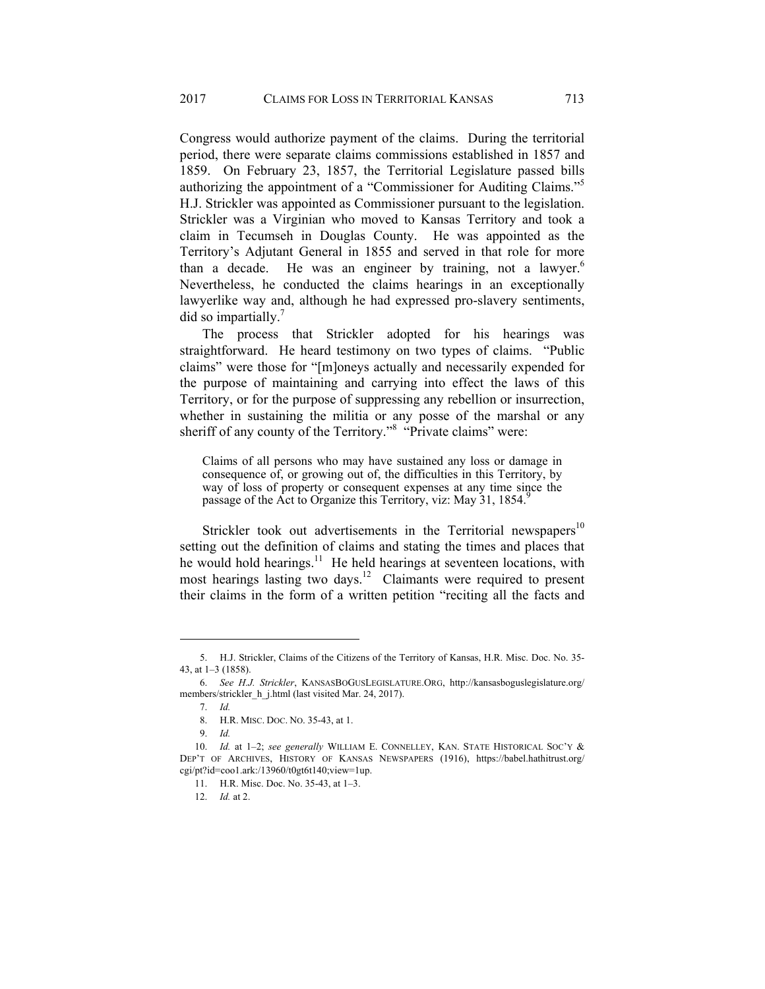Congress would authorize payment of the claims. During the territorial period, there were separate claims commissions established in 1857 and 1859. On February 23, 1857, the Territorial Legislature passed bills authorizing the appointment of a "Commissioner for Auditing Claims."<sup>5</sup> H.J. Strickler was appointed as Commissioner pursuant to the legislation. Strickler was a Virginian who moved to Kansas Territory and took a claim in Tecumseh in Douglas County. He was appointed as the Territory's Adjutant General in 1855 and served in that role for more than a decade. He was an engineer by training, not a lawyer.<sup>6</sup> Nevertheless, he conducted the claims hearings in an exceptionally lawyerlike way and, although he had expressed pro-slavery sentiments, did so impartially.<sup>7</sup>

The process that Strickler adopted for his hearings was straightforward. He heard testimony on two types of claims. "Public claims" were those for "[m]oneys actually and necessarily expended for the purpose of maintaining and carrying into effect the laws of this Territory, or for the purpose of suppressing any rebellion or insurrection, whether in sustaining the militia or any posse of the marshal or any sheriff of any county of the Territory."<sup>8</sup> "Private claims" were:

Claims of all persons who may have sustained any loss or damage in consequence of, or growing out of, the difficulties in this Territory, by way of loss of property or consequent expenses at any time since the passage of the Act to Organize this Territory, viz: May 31, 1854.

Strickler took out advertisements in the Territorial newspapers<sup>10</sup> setting out the definition of claims and stating the times and places that he would hold hearings.<sup>11</sup> He held hearings at seventeen locations, with most hearings lasting two days.12 Claimants were required to present their claims in the form of a written petition "reciting all the facts and

 <sup>5.</sup> H.J. Strickler, Claims of the Citizens of the Territory of Kansas, H.R. Misc. Doc. No. 35- 43, at 1–3 (1858).

 <sup>6.</sup> *See H.J. Strickler*, KANSASBOGUSLEGISLATURE.ORG, http://kansasboguslegislature.org/ members/strickler\_h\_j.html (last visited Mar. 24, 2017).

 <sup>7.</sup> *Id.*

 <sup>8.</sup> H.R. MISC. DOC. NO. 35-43, at 1.

 <sup>9.</sup> *Id.*

 <sup>10.</sup> *Id.* at 1–2; *see generally* WILLIAM E. CONNELLEY, KAN. STATE HISTORICAL SOC'Y & DEP'T OF ARCHIVES, HISTORY OF KANSAS NEWSPAPERS (1916), https://babel.hathitrust.org/ cgi/pt?id=coo1.ark:/13960/t0gt6t140;view=1up.

 <sup>11.</sup> H.R. Misc. Doc. No. 35-43, at 1–3.

 <sup>12.</sup> *Id.* at 2.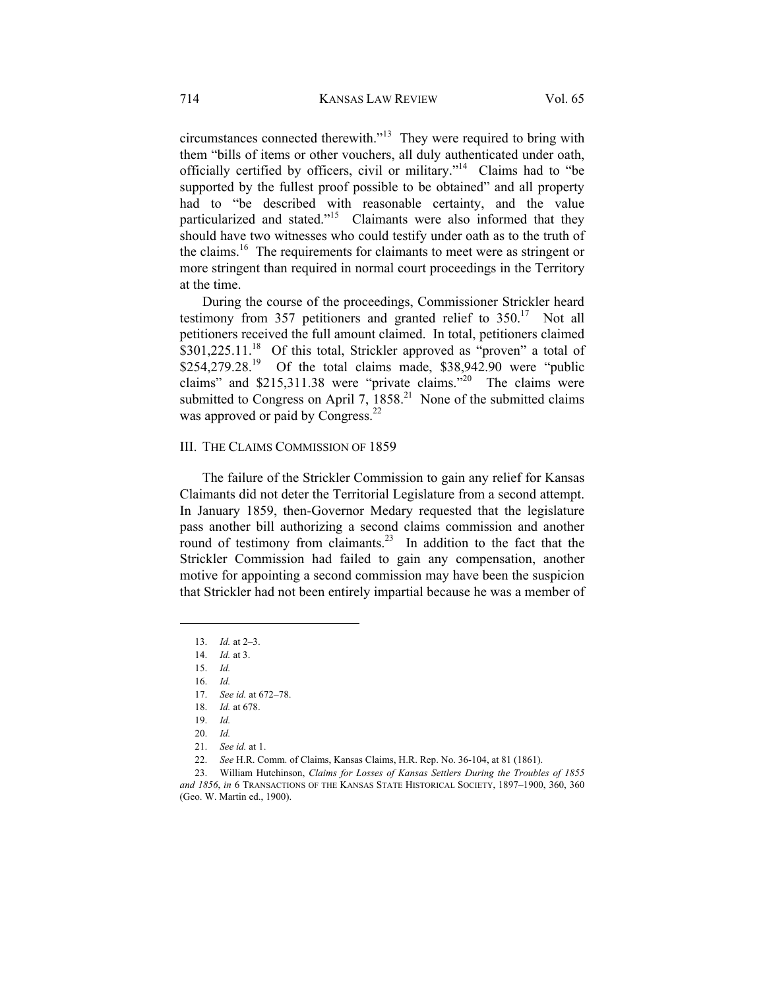circumstances connected therewith."13 They were required to bring with them "bills of items or other vouchers, all duly authenticated under oath, officially certified by officers, civil or military."14 Claims had to "be supported by the fullest proof possible to be obtained" and all property had to "be described with reasonable certainty, and the value particularized and stated."<sup>15</sup> Claimants were also informed that they should have two witnesses who could testify under oath as to the truth of the claims.<sup>16</sup> The requirements for claimants to meet were as stringent or more stringent than required in normal court proceedings in the Territory at the time.

During the course of the proceedings, Commissioner Strickler heard testimony from 357 petitioners and granted relief to  $350^{17}$  Not all petitioners received the full amount claimed. In total, petitioners claimed  $$301,225.11<sup>18</sup>$  Of this total, Strickler approved as "proven" a total of  $$254,279.28<sup>19</sup>$  Of the total claims made,  $$38,942.90$  were "public claims" and \$215,311.38 were "private claims."20 The claims were submitted to Congress on April 7,  $1858<sup>21</sup>$  None of the submitted claims was approved or paid by Congress.<sup>22</sup>

### III. THE CLAIMS COMMISSION OF 1859

The failure of the Strickler Commission to gain any relief for Kansas Claimants did not deter the Territorial Legislature from a second attempt. In January 1859, then-Governor Medary requested that the legislature pass another bill authorizing a second claims commission and another round of testimony from claimants.<sup>23</sup> In addition to the fact that the Strickler Commission had failed to gain any compensation, another motive for appointing a second commission may have been the suspicion that Strickler had not been entirely impartial because he was a member of

l

18. *Id.* at 678.

 <sup>13.</sup> *Id.* at 2–3.

 <sup>14.</sup> *Id.* at 3.

 <sup>15.</sup> *Id.*

 <sup>16.</sup> *Id.*

 <sup>17.</sup> *See id.* at 672–78.

 <sup>19.</sup> *Id.*

 <sup>20.</sup> *Id.*

 <sup>21.</sup> *See id.* at 1.

 <sup>22.</sup> *See* H.R. Comm. of Claims, Kansas Claims, H.R. Rep. No. 36-104, at 81 (1861).

 <sup>23.</sup> William Hutchinson, *Claims for Losses of Kansas Settlers During the Troubles of 1855 and 1856*, *in* 6 TRANSACTIONS OF THE KANSAS STATE HISTORICAL SOCIETY, 1897–1900, 360, 360 (Geo. W. Martin ed., 1900).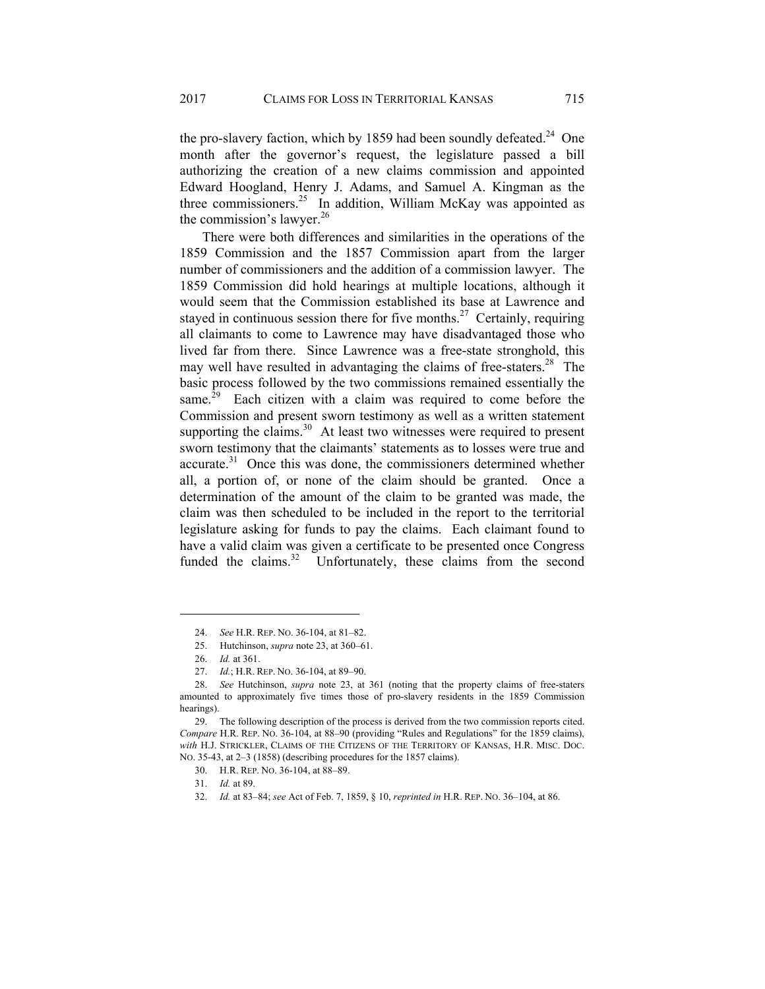the pro-slavery faction, which by 1859 had been soundly defeated.<sup>24</sup> One month after the governor's request, the legislature passed a bill authorizing the creation of a new claims commission and appointed Edward Hoogland, Henry J. Adams, and Samuel A. Kingman as the three commissioners.<sup>25</sup> In addition, William McKay was appointed as the commission's lawyer.<sup>26</sup>

There were both differences and similarities in the operations of the 1859 Commission and the 1857 Commission apart from the larger number of commissioners and the addition of a commission lawyer. The 1859 Commission did hold hearings at multiple locations, although it would seem that the Commission established its base at Lawrence and stayed in continuous session there for five months.<sup>27</sup> Certainly, requiring all claimants to come to Lawrence may have disadvantaged those who lived far from there. Since Lawrence was a free-state stronghold, this may well have resulted in advantaging the claims of free-staters.<sup>28</sup> The basic process followed by the two commissions remained essentially the same.<sup>29</sup> Each citizen with a claim was required to come before the Commission and present sworn testimony as well as a written statement supporting the claims. $30$  At least two witnesses were required to present sworn testimony that the claimants' statements as to losses were true and  $\alpha$  accurate.<sup>31</sup> Once this was done, the commissioners determined whether all, a portion of, or none of the claim should be granted. Once a determination of the amount of the claim to be granted was made, the claim was then scheduled to be included in the report to the territorial legislature asking for funds to pay the claims. Each claimant found to have a valid claim was given a certificate to be presented once Congress funded the claims.<sup>32</sup> Unfortunately, these claims from the second

l

 <sup>24.</sup> *See* H.R. REP. NO. 36-104, at 81–82.

 <sup>25.</sup> Hutchinson, *supra* note 23, at 360–61.

 <sup>26.</sup> *Id.* at 361.

 <sup>27.</sup> *Id.*; H.R. REP. NO. 36-104, at 89–90.

 <sup>28.</sup> *See* Hutchinson, *supra* note 23, at 361 (noting that the property claims of free-staters amounted to approximately five times those of pro-slavery residents in the 1859 Commission hearings).

 <sup>29.</sup> The following description of the process is derived from the two commission reports cited. *Compare* H.R. REP. NO. 36-104, at 88–90 (providing "Rules and Regulations" for the 1859 claims), *with* H.J. STRICKLER, CLAIMS OF THE CITIZENS OF THE TERRITORY OF KANSAS, H.R. MISC. DOC. NO. 35-43, at 2–3 (1858) (describing procedures for the 1857 claims).

 <sup>30.</sup> H.R. REP. NO. 36-104, at 88–89.

 <sup>31.</sup> *Id.* at 89.

 <sup>32.</sup> *Id.* at 83–84; *see* Act of Feb. 7, 1859, § 10, *reprinted in* H.R. REP. NO. 36–104, at 86.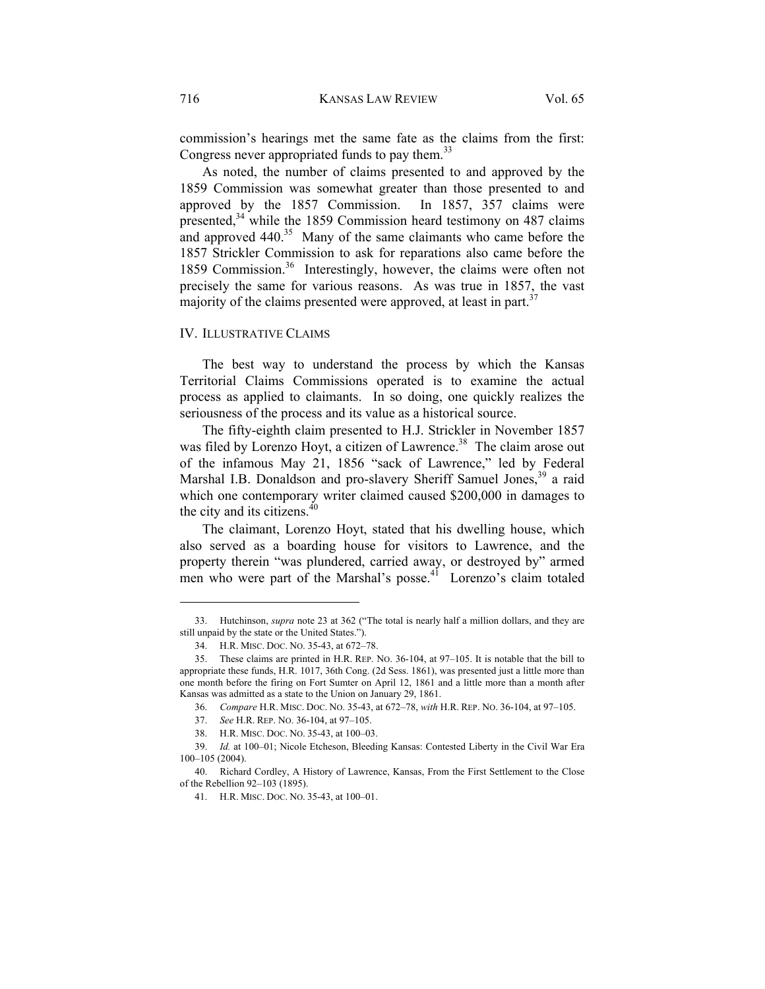commission's hearings met the same fate as the claims from the first: Congress never appropriated funds to pay them.<sup>33</sup>

As noted, the number of claims presented to and approved by the 1859 Commission was somewhat greater than those presented to and approved by the 1857 Commission. In 1857, 357 claims were presented,<sup>34</sup> while the 1859 Commission heard testimony on 487 claims and approved  $440^{35}$  Many of the same claimants who came before the 1857 Strickler Commission to ask for reparations also came before the 1859 Commission.<sup>36</sup> Interestingly, however, the claims were often not precisely the same for various reasons. As was true in 1857, the vast majority of the claims presented were approved, at least in part.<sup>37</sup>

#### IV. ILLUSTRATIVE CLAIMS

The best way to understand the process by which the Kansas Territorial Claims Commissions operated is to examine the actual process as applied to claimants. In so doing, one quickly realizes the seriousness of the process and its value as a historical source.

The fifty-eighth claim presented to H.J. Strickler in November 1857 was filed by Lorenzo Hoyt, a citizen of Lawrence.<sup>38</sup> The claim arose out of the infamous May 21, 1856 "sack of Lawrence," led by Federal Marshal I.B. Donaldson and pro-slavery Sheriff Samuel Jones,<sup>39</sup> a raid which one contemporary writer claimed caused \$200,000 in damages to the city and its citizens. $40$ 

The claimant, Lorenzo Hoyt, stated that his dwelling house, which also served as a boarding house for visitors to Lawrence, and the property therein "was plundered, carried away, or destroyed by" armed men who were part of the Marshal's posse.<sup>41</sup> Lorenzo's claim totaled

 <sup>33.</sup> Hutchinson, *supra* note 23 at 362 ("The total is nearly half a million dollars, and they are still unpaid by the state or the United States.").

 <sup>34.</sup> H.R. MISC. DOC. NO. 35-43, at 672–78.

 <sup>35.</sup> These claims are printed in H.R. REP. NO. 36-104, at 97–105. It is notable that the bill to appropriate these funds, H.R. 1017, 36th Cong. (2d Sess. 1861), was presented just a little more than one month before the firing on Fort Sumter on April 12, 1861 and a little more than a month after Kansas was admitted as a state to the Union on January 29, 1861.

 <sup>36.</sup> *Compare* H.R. MISC. DOC. NO. 35-43, at 672–78, *with* H.R. REP. NO. 36-104, at 97–105.

 <sup>37.</sup> *See* H.R. REP. NO. 36-104, at 97–105.

 <sup>38.</sup> H.R. MISC. DOC. NO. 35-43, at 100–03.

 <sup>39.</sup> *Id.* at 100–01; Nicole Etcheson, Bleeding Kansas: Contested Liberty in the Civil War Era 100–105 (2004).

 <sup>40.</sup> Richard Cordley, A History of Lawrence, Kansas, From the First Settlement to the Close of the Rebellion 92–103 (1895).

 <sup>41.</sup> H.R. MISC. DOC. NO. 35-43, at 100–01.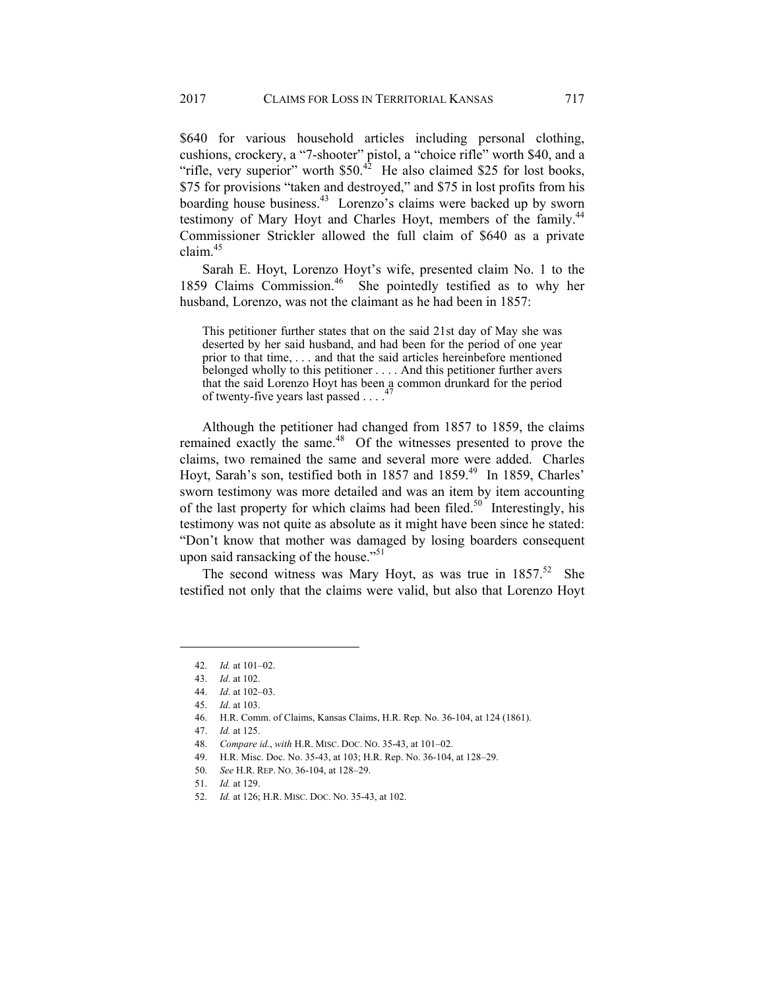\$640 for various household articles including personal clothing, cushions, crockery, a "7-shooter" pistol, a "choice rifle" worth \$40, and a "rifle, very superior" worth  $$50<sup>42</sup>$  He also claimed \$25 for lost books, \$75 for provisions "taken and destroyed," and \$75 in lost profits from his boarding house business.<sup>43</sup> Lorenzo's claims were backed up by sworn testimony of Mary Hoyt and Charles Hoyt, members of the family.<sup>44</sup> Commissioner Strickler allowed the full claim of \$640 as a private claim $45$ 

Sarah E. Hoyt, Lorenzo Hoyt's wife, presented claim No. 1 to the 1859 Claims Commission.<sup>46</sup> She pointedly testified as to why her husband, Lorenzo, was not the claimant as he had been in 1857:

This petitioner further states that on the said 21st day of May she was deserted by her said husband, and had been for the period of one year prior to that time, . . . and that the said articles hereinbefore mentioned belonged wholly to this petitioner . . . . And this petitioner further avers that the said Lorenzo Hoyt has been  $a_4$  common drunkard for the period of twenty-five years last passed . . . .<sup>4</sup>

Although the petitioner had changed from 1857 to 1859, the claims remained exactly the same.<sup>48</sup> Of the witnesses presented to prove the claims, two remained the same and several more were added. Charles Hoyt, Sarah's son, testified both in 1857 and 1859.<sup>49</sup> In 1859, Charles' sworn testimony was more detailed and was an item by item accounting of the last property for which claims had been filed.<sup>50</sup> Interestingly, his testimony was not quite as absolute as it might have been since he stated: "Don't know that mother was damaged by losing boarders consequent upon said ransacking of the house."<sup>51</sup>

The second witness was Mary Hoyt, as was true in  $1857^{52}$  She testified not only that the claims were valid, but also that Lorenzo Hoyt

- 50. *See* H.R. REP. NO. 36-104, at 128–29.
- 51. *Id.* at 129.

 <sup>42.</sup> *Id.* at 101–02.

 <sup>43.</sup> *Id*. at 102.

 <sup>44.</sup> *Id*. at 102–03.

 <sup>45.</sup> *Id*. at 103.

 <sup>46.</sup> H.R. Comm. of Claims, Kansas Claims, H.R. Rep. No. 36-104, at 124 (1861).

 <sup>47.</sup> *Id.* at 125.

 <sup>48.</sup> *Compare id.*, *with* H.R. MISC. DOC. NO. 35-43, at 101–02.

 <sup>49.</sup> H.R. Misc. Doc. No. 35-43, at 103; H.R. Rep. No. 36-104, at 128–29.

 <sup>52.</sup> *Id.* at 126; H.R. MISC. DOC. NO. 35-43, at 102.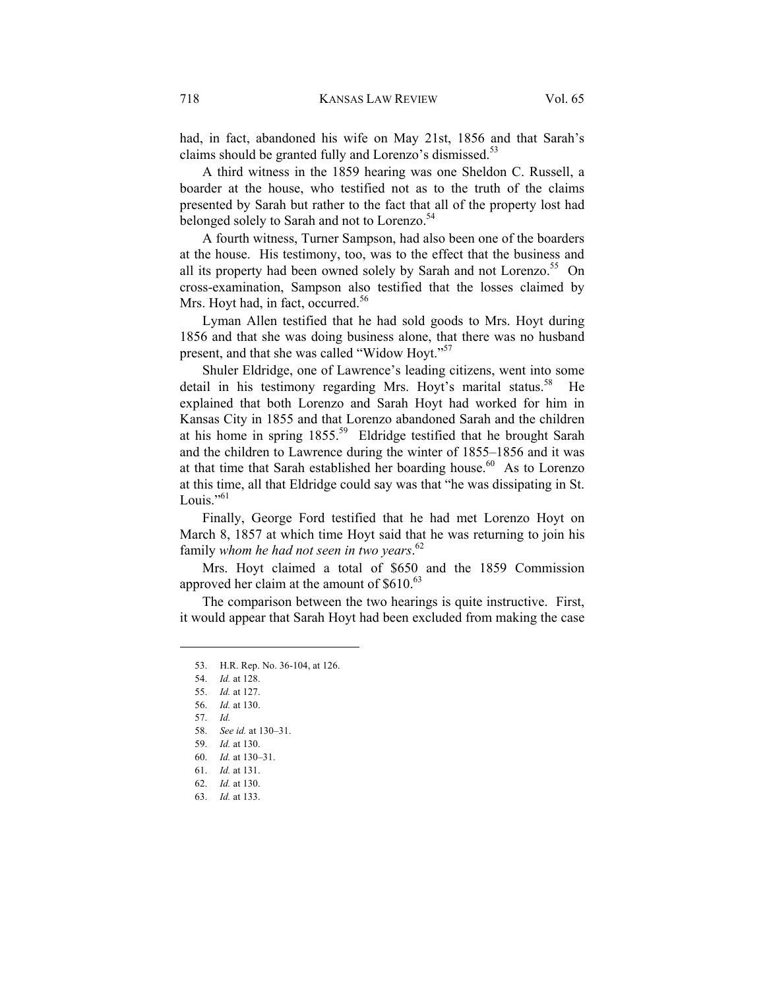had, in fact, abandoned his wife on May 21st, 1856 and that Sarah's claims should be granted fully and Lorenzo's dismissed.<sup>53</sup>

A third witness in the 1859 hearing was one Sheldon C. Russell, a boarder at the house, who testified not as to the truth of the claims presented by Sarah but rather to the fact that all of the property lost had belonged solely to Sarah and not to Lorenzo.<sup>54</sup>

A fourth witness, Turner Sampson, had also been one of the boarders at the house. His testimony, too, was to the effect that the business and all its property had been owned solely by Sarah and not Lorenzo.<sup>55</sup> On cross-examination, Sampson also testified that the losses claimed by Mrs. Hoyt had, in fact, occurred.<sup>56</sup>

Lyman Allen testified that he had sold goods to Mrs. Hoyt during 1856 and that she was doing business alone, that there was no husband present, and that she was called "Widow Hoyt."<sup>57</sup>

Shuler Eldridge, one of Lawrence's leading citizens, went into some detail in his testimony regarding Mrs. Hoyt's marital status.<sup>58</sup> He explained that both Lorenzo and Sarah Hoyt had worked for him in Kansas City in 1855 and that Lorenzo abandoned Sarah and the children at his home in spring 1855.59 Eldridge testified that he brought Sarah and the children to Lawrence during the winter of 1855–1856 and it was at that time that Sarah established her boarding house. $60$  As to Lorenzo at this time, all that Eldridge could say was that "he was dissipating in St. Louis." $61$ 

Finally, George Ford testified that he had met Lorenzo Hoyt on March 8, 1857 at which time Hoyt said that he was returning to join his family *whom he had not seen in two years*. 62

Mrs. Hoyt claimed a total of \$650 and the 1859 Commission approved her claim at the amount of  $$610.<sup>63</sup>$ 

The comparison between the two hearings is quite instructive. First, it would appear that Sarah Hoyt had been excluded from making the case

 <sup>53.</sup> H.R. Rep. No. 36-104, at 126.

 <sup>54.</sup> *Id.* at 128.

 <sup>55.</sup> *Id.* at 127.

 <sup>56.</sup> *Id.* at 130.

 <sup>57.</sup> *Id.*

 <sup>58.</sup> *See id.* at 130–31.

 <sup>59.</sup> *Id.* at 130.

 <sup>60.</sup> *Id.* at 130–31.

 <sup>61.</sup> *Id.* at 131.

 <sup>62.</sup> *Id.* at 130.

 <sup>63.</sup> *Id.* at 133.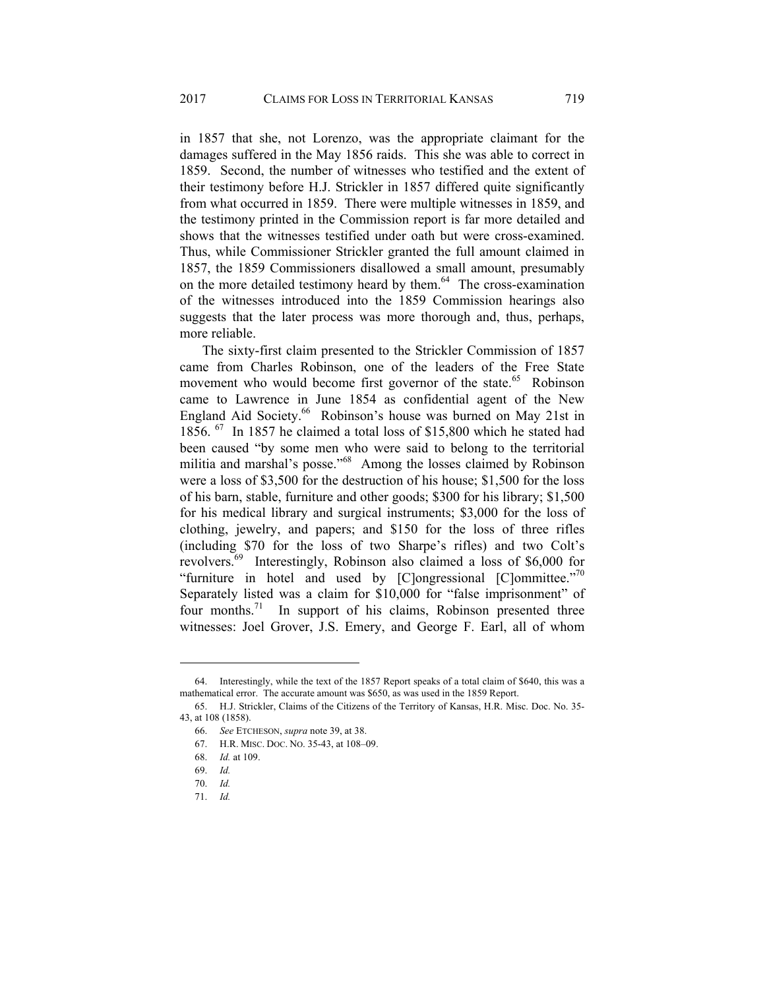in 1857 that she, not Lorenzo, was the appropriate claimant for the damages suffered in the May 1856 raids. This she was able to correct in 1859. Second, the number of witnesses who testified and the extent of their testimony before H.J. Strickler in 1857 differed quite significantly from what occurred in 1859. There were multiple witnesses in 1859, and the testimony printed in the Commission report is far more detailed and shows that the witnesses testified under oath but were cross-examined. Thus, while Commissioner Strickler granted the full amount claimed in 1857, the 1859 Commissioners disallowed a small amount, presumably on the more detailed testimony heard by them.<sup>64</sup> The cross-examination of the witnesses introduced into the 1859 Commission hearings also suggests that the later process was more thorough and, thus, perhaps, more reliable.

The sixty-first claim presented to the Strickler Commission of 1857 came from Charles Robinson, one of the leaders of the Free State movement who would become first governor of the state.<sup>65</sup> Robinson came to Lawrence in June 1854 as confidential agent of the New England Aid Society.<sup>66</sup> Robinson's house was burned on May 21st in 1856. 67 In 1857 he claimed a total loss of \$15,800 which he stated had been caused "by some men who were said to belong to the territorial militia and marshal's posse."68 Among the losses claimed by Robinson were a loss of \$3,500 for the destruction of his house; \$1,500 for the loss of his barn, stable, furniture and other goods; \$300 for his library; \$1,500 for his medical library and surgical instruments; \$3,000 for the loss of clothing, jewelry, and papers; and \$150 for the loss of three rifles (including \$70 for the loss of two Sharpe's rifles) and two Colt's revolvers.69 Interestingly, Robinson also claimed a loss of \$6,000 for "furniture in hotel and used by  $[Clongressional]$   $[Clonmitted$ ."<sup>70</sup> Separately listed was a claim for \$10,000 for "false imprisonment" of four months.<sup>71</sup> In support of his claims, Robinson presented three witnesses: Joel Grover, J.S. Emery, and George F. Earl, all of whom

l

 <sup>64.</sup> Interestingly, while the text of the 1857 Report speaks of a total claim of \$640, this was a mathematical error. The accurate amount was \$650, as was used in the 1859 Report.

 <sup>65.</sup> H.J. Strickler, Claims of the Citizens of the Territory of Kansas, H.R. Misc. Doc. No. 35- 43, at 108 (1858).

 <sup>66.</sup> *See* ETCHESON, *supra* note 39, at 38.

 <sup>67.</sup> H.R. MISC. DOC. NO. 35-43, at 108–09.

 <sup>68.</sup> *Id.* at 109.

 <sup>69.</sup> *Id.*

 <sup>70.</sup> *Id.*

 <sup>71.</sup> *Id.*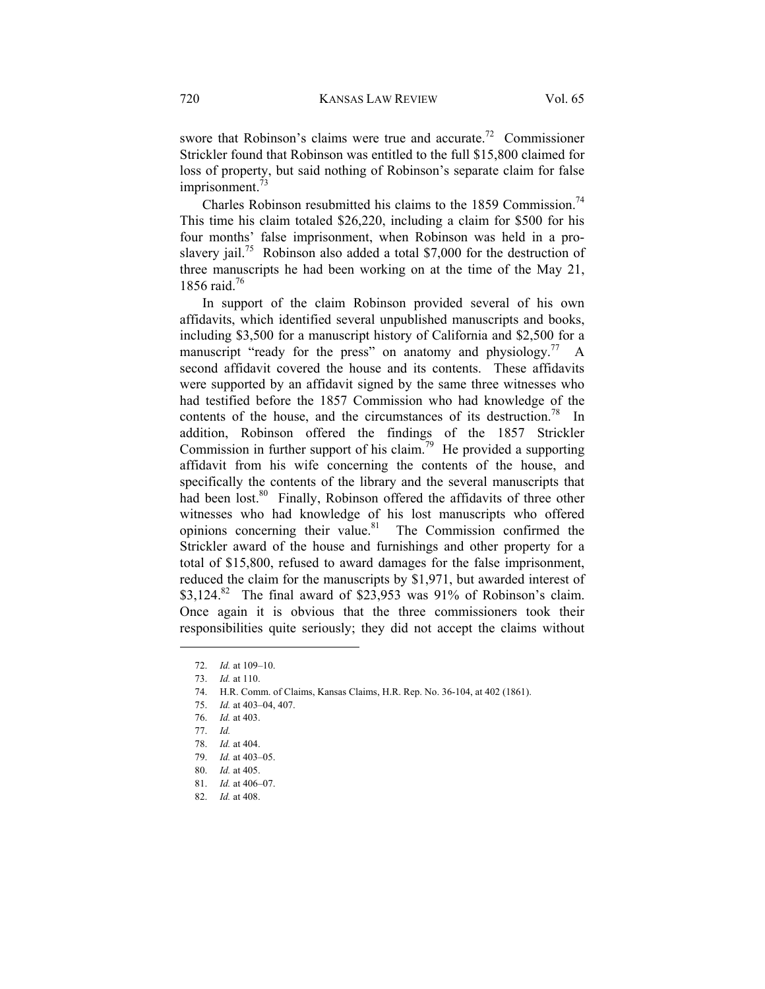swore that Robinson's claims were true and accurate.<sup>72</sup> Commissioner Strickler found that Robinson was entitled to the full \$15,800 claimed for loss of property, but said nothing of Robinson's separate claim for false imprisonment.<sup>73</sup>

Charles Robinson resubmitted his claims to the 1859 Commission.<sup>74</sup> This time his claim totaled \$26,220, including a claim for \$500 for his four months' false imprisonment, when Robinson was held in a proslavery jail.<sup>75</sup> Robinson also added a total \$7,000 for the destruction of three manuscripts he had been working on at the time of the May 21, 1856 raid.<sup>76</sup>

In support of the claim Robinson provided several of his own affidavits, which identified several unpublished manuscripts and books, including \$3,500 for a manuscript history of California and \$2,500 for a manuscript "ready for the press" on anatomy and physiology.<sup>77</sup> A second affidavit covered the house and its contents. These affidavits were supported by an affidavit signed by the same three witnesses who had testified before the 1857 Commission who had knowledge of the contents of the house, and the circumstances of its destruction.<sup>78</sup> In addition, Robinson offered the findings of the 1857 Strickler Commission in further support of his claim.<sup>79</sup> He provided a supporting affidavit from his wife concerning the contents of the house, and specifically the contents of the library and the several manuscripts that had been lost.<sup>80</sup> Finally, Robinson offered the affidavits of three other witnesses who had knowledge of his lost manuscripts who offered opinions concerning their value. $81$  The Commission confirmed the Strickler award of the house and furnishings and other property for a total of \$15,800, refused to award damages for the false imprisonment, reduced the claim for the manuscripts by \$1,971, but awarded interest of  $$3,124<sup>82</sup>$  The final award of \$23,953 was 91% of Robinson's claim. Once again it is obvious that the three commissioners took their responsibilities quite seriously; they did not accept the claims without

 <sup>72.</sup> *Id.* at 109–10.

 <sup>73.</sup> *Id.* at 110.

 <sup>74.</sup> H.R. Comm. of Claims, Kansas Claims, H.R. Rep. No. 36-104, at 402 (1861).

 <sup>75.</sup> *Id.* at 403–04, 407.

 <sup>76.</sup> *Id.* at 403.

 <sup>77.</sup> *Id.*

 <sup>78.</sup> *Id.* at 404.

 <sup>79.</sup> *Id.* at 403–05.

 <sup>80.</sup> *Id.* at 405.

 <sup>81.</sup> *Id.* at 406–07.

 <sup>82.</sup> *Id.* at 408.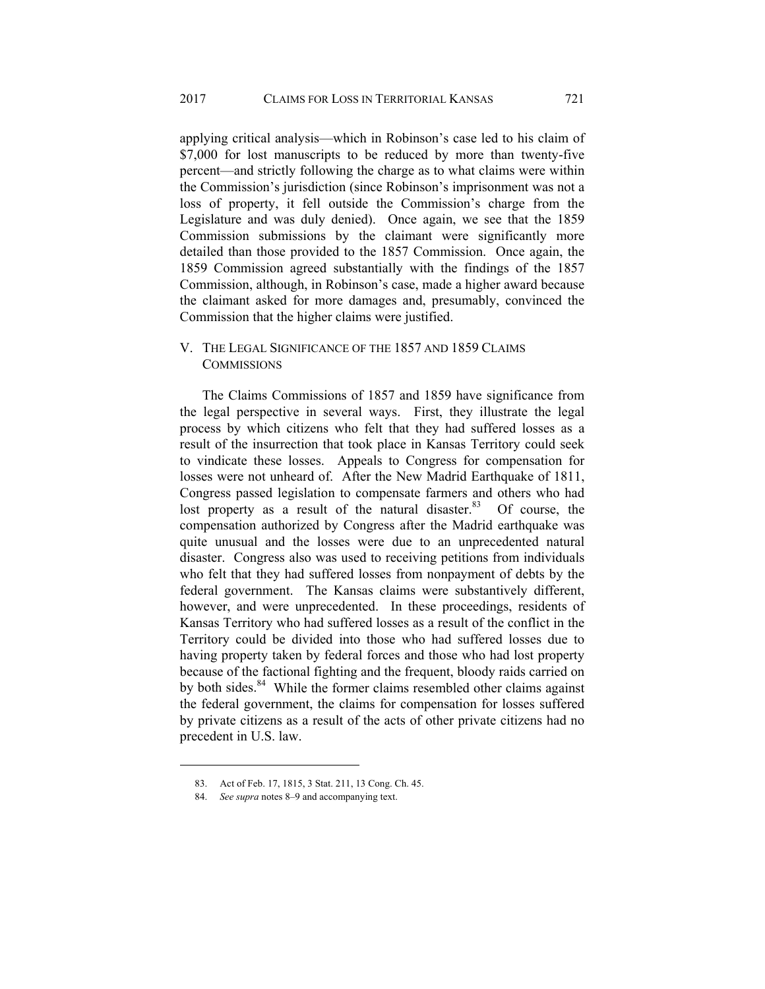applying critical analysis—which in Robinson's case led to his claim of \$7,000 for lost manuscripts to be reduced by more than twenty-five percent—and strictly following the charge as to what claims were within the Commission's jurisdiction (since Robinson's imprisonment was not a loss of property, it fell outside the Commission's charge from the Legislature and was duly denied). Once again, we see that the 1859 Commission submissions by the claimant were significantly more detailed than those provided to the 1857 Commission. Once again, the 1859 Commission agreed substantially with the findings of the 1857 Commission, although, in Robinson's case, made a higher award because the claimant asked for more damages and, presumably, convinced the Commission that the higher claims were justified.

## V. THE LEGAL SIGNIFICANCE OF THE 1857 AND 1859 CLAIMS **COMMISSIONS**

The Claims Commissions of 1857 and 1859 have significance from the legal perspective in several ways. First, they illustrate the legal process by which citizens who felt that they had suffered losses as a result of the insurrection that took place in Kansas Territory could seek to vindicate these losses. Appeals to Congress for compensation for losses were not unheard of. After the New Madrid Earthquake of 1811, Congress passed legislation to compensate farmers and others who had lost property as a result of the natural disaster. $83$  Of course, the compensation authorized by Congress after the Madrid earthquake was quite unusual and the losses were due to an unprecedented natural disaster. Congress also was used to receiving petitions from individuals who felt that they had suffered losses from nonpayment of debts by the federal government. The Kansas claims were substantively different, however, and were unprecedented. In these proceedings, residents of Kansas Territory who had suffered losses as a result of the conflict in the Territory could be divided into those who had suffered losses due to having property taken by federal forces and those who had lost property because of the factional fighting and the frequent, bloody raids carried on by both sides.<sup>84</sup> While the former claims resembled other claims against the federal government, the claims for compensation for losses suffered by private citizens as a result of the acts of other private citizens had no precedent in U.S. law.

 <sup>83.</sup> Act of Feb. 17, 1815, 3 Stat. 211, 13 Cong. Ch. 45.

 <sup>84.</sup> *See supra* notes 8–9 and accompanying text.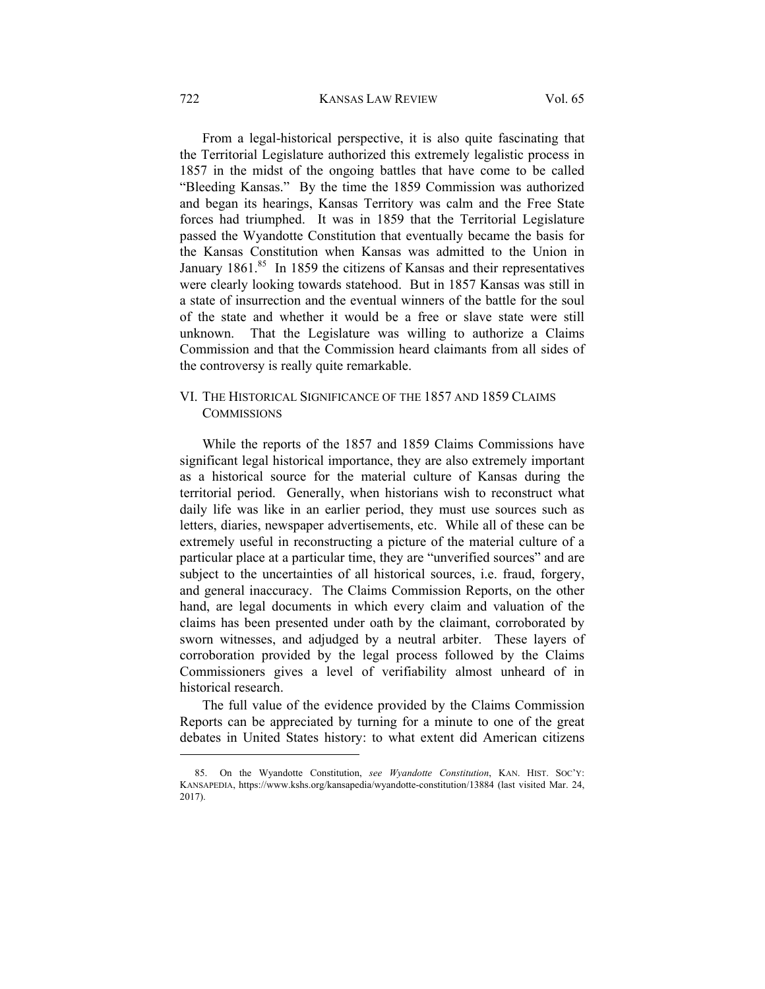From a legal-historical perspective, it is also quite fascinating that the Territorial Legislature authorized this extremely legalistic process in 1857 in the midst of the ongoing battles that have come to be called "Bleeding Kansas." By the time the 1859 Commission was authorized and began its hearings, Kansas Territory was calm and the Free State forces had triumphed. It was in 1859 that the Territorial Legislature passed the Wyandotte Constitution that eventually became the basis for the Kansas Constitution when Kansas was admitted to the Union in January 1861.<sup>85</sup> In 1859 the citizens of Kansas and their representatives were clearly looking towards statehood. But in 1857 Kansas was still in a state of insurrection and the eventual winners of the battle for the soul of the state and whether it would be a free or slave state were still unknown. That the Legislature was willing to authorize a Claims Commission and that the Commission heard claimants from all sides of the controversy is really quite remarkable.

## VI. THE HISTORICAL SIGNIFICANCE OF THE 1857 AND 1859 CLAIMS **COMMISSIONS**

While the reports of the 1857 and 1859 Claims Commissions have significant legal historical importance, they are also extremely important as a historical source for the material culture of Kansas during the territorial period. Generally, when historians wish to reconstruct what daily life was like in an earlier period, they must use sources such as letters, diaries, newspaper advertisements, etc. While all of these can be extremely useful in reconstructing a picture of the material culture of a particular place at a particular time, they are "unverified sources" and are subject to the uncertainties of all historical sources, i.e. fraud, forgery, and general inaccuracy. The Claims Commission Reports, on the other hand, are legal documents in which every claim and valuation of the claims has been presented under oath by the claimant, corroborated by sworn witnesses, and adjudged by a neutral arbiter. These layers of corroboration provided by the legal process followed by the Claims Commissioners gives a level of verifiability almost unheard of in historical research.

The full value of the evidence provided by the Claims Commission Reports can be appreciated by turning for a minute to one of the great debates in United States history: to what extent did American citizens

l

 <sup>85.</sup> On the Wyandotte Constitution, *see Wyandotte Constitution*, KAN. HIST. SOC'Y: KANSAPEDIA, https://www.kshs.org/kansapedia/wyandotte-constitution/13884 (last visited Mar. 24, 2017).